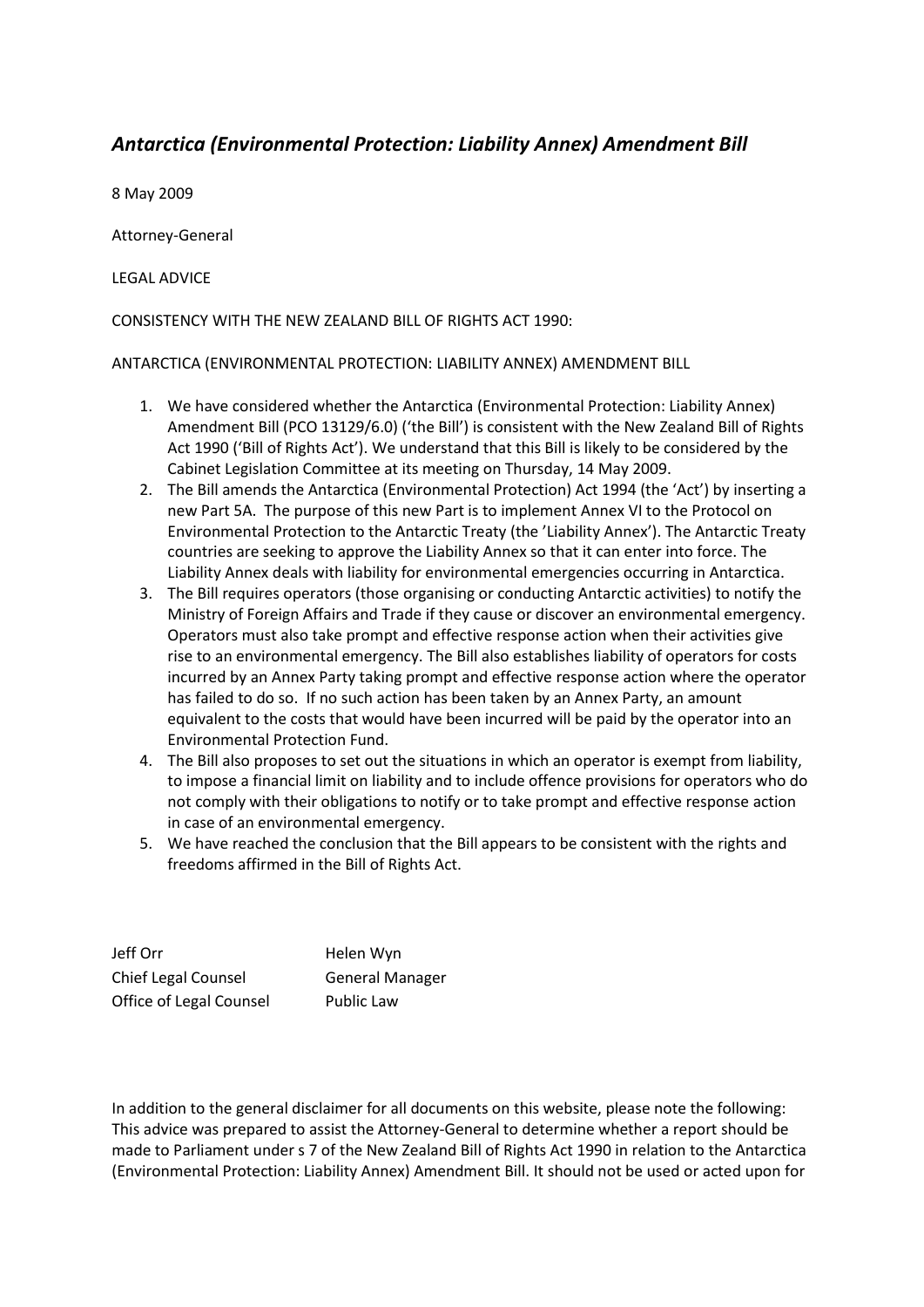## *Antarctica (Environmental Protection: Liability Annex) Amendment Bill*

8 May 2009

Attorney-General

LEGAL ADVICE

CONSISTENCY WITH THE NEW ZEALAND BILL OF RIGHTS ACT 1990:

ANTARCTICA (ENVIRONMENTAL PROTECTION: LIABILITY ANNEX) AMENDMENT BILL

- 1. We have considered whether the Antarctica (Environmental Protection: Liability Annex) Amendment Bill (PCO 13129/6.0) ('the Bill') is consistent with the New Zealand Bill of Rights Act 1990 ('Bill of Rights Act'). We understand that this Bill is likely to be considered by the Cabinet Legislation Committee at its meeting on Thursday, 14 May 2009.
- 2. The Bill amends the Antarctica (Environmental Protection) Act 1994 (the 'Act') by inserting a new Part 5A. The purpose of this new Part is to implement Annex VI to the Protocol on Environmental Protection to the Antarctic Treaty (the 'Liability Annex'). The Antarctic Treaty countries are seeking to approve the Liability Annex so that it can enter into force. The Liability Annex deals with liability for environmental emergencies occurring in Antarctica.
- 3. The Bill requires operators (those organising or conducting Antarctic activities) to notify the Ministry of Foreign Affairs and Trade if they cause or discover an environmental emergency. Operators must also take prompt and effective response action when their activities give rise to an environmental emergency. The Bill also establishes liability of operators for costs incurred by an Annex Party taking prompt and effective response action where the operator has failed to do so. If no such action has been taken by an Annex Party, an amount equivalent to the costs that would have been incurred will be paid by the operator into an Environmental Protection Fund.
- 4. The Bill also proposes to set out the situations in which an operator is exempt from liability, to impose a financial limit on liability and to include offence provisions for operators who do not comply with their obligations to notify or to take prompt and effective response action in case of an environmental emergency.
- 5. We have reached the conclusion that the Bill appears to be consistent with the rights and freedoms affirmed in the Bill of Rights Act.

| Jeff Orr                   | Helen Wyn              |
|----------------------------|------------------------|
| <b>Chief Legal Counsel</b> | <b>General Manager</b> |
| Office of Legal Counsel    | Public Law             |

In addition to the general disclaimer for all documents on this website, please note the following: This advice was prepared to assist the Attorney-General to determine whether a report should be made to Parliament under s 7 of the New Zealand Bill of Rights Act 1990 in relation to the Antarctica (Environmental Protection: Liability Annex) Amendment Bill. It should not be used or acted upon for